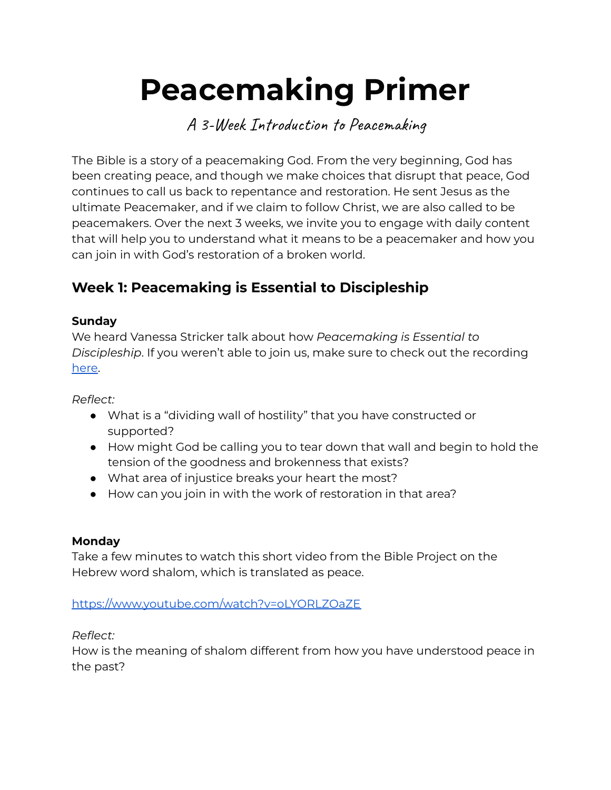# **Peacemaking Primer**

A 3-Week Introduction to Peacemaking

The Bible is a story of a peacemaking God. From the very beginning, God has been creating peace, and though we make choices that disrupt that peace, God continues to call us back to repentance and restoration. He sent Jesus as the ultimate Peacemaker, and if we claim to follow Christ, we are also called to be peacemakers. Over the next 3 weeks, we invite you to engage with daily content that will help you to understand what it means to be a peacemaker and how you can join in with God's restoration of a broken world.

# **Week 1: Peacemaking is Essential to Discipleship**

## **Sunday**

We heard Vanessa Stricker talk about how *Peacemaking is Essential to Discipleship*. If you weren't able to join us, make sure to check out the recording [here](https://www.youtube.com/watch?v=Prbj0EUJ5WY&t=397s).

*Reflect:*

- What is a "dividing wall of hostility" that you have constructed or supported?
- How might God be calling you to tear down that wall and begin to hold the tension of the goodness and brokenness that exists?
- What area of injustice breaks your heart the most?
- How can you join in with the work of restoration in that area?

#### **Monday**

Take a few minutes to watch this short video from the Bible Project on the Hebrew word shalom, which is translated as peace.

#### <https://www.youtube.com/watch?v=oLYORLZOaZE>

#### *Reflect:*

How is the meaning of shalom different from how you have understood peace in the past?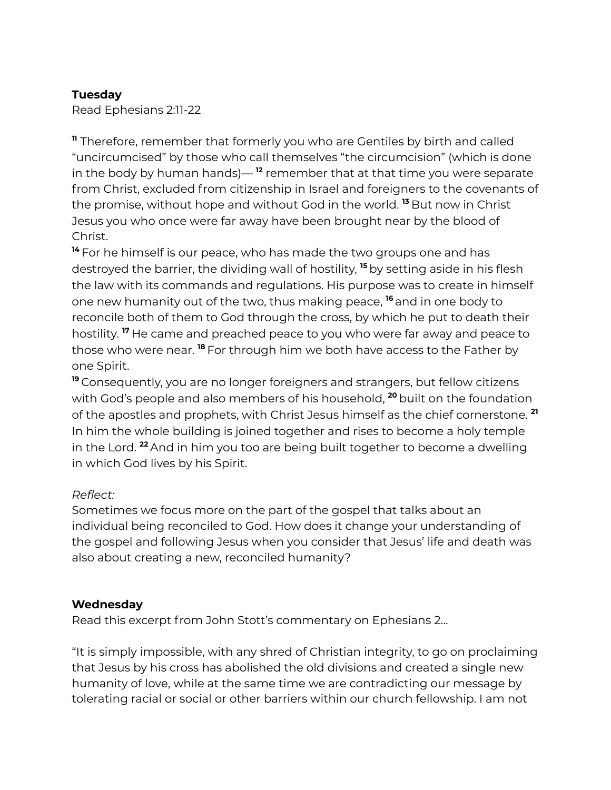#### **Tuesday**

Read Ephesians 2:11-22

**<sup>11</sup>** Therefore, remember that formerly you who are Gentiles by birth and called "uncircumcised" by those who call themselves "the circumcision" (which is done in the body by human hands)— **<sup>12</sup>** remember that at that time you were separate from Christ, excluded from citizenship in Israel and foreigners to the covenants of the promise, without hope and without God in the world. **<sup>13</sup>** But now in Christ Jesus you who once were far away have been brought near by the blood of Christ.

**<sup>14</sup>** For he himself is our peace, who has made the two groups one and has destroyed the barrier, the dividing wall of hostility, **<sup>15</sup>** by setting aside in his flesh the law with its commands and regulations. His purpose was to create in himself one new humanity out of the two, thus making peace, **<sup>16</sup>** and in one body to reconcile both of them to God through the cross, by which he put to death their hostility. **<sup>17</sup>** He came and preached peace to you who were far away and peace to those who were near. **<sup>18</sup>** For through him we both have access to the Father by one Spirit.

**<sup>19</sup>** Consequently, you are no longer foreigners and strangers, but fellow citizens with God's people and also members of his household, **<sup>20</sup>** built on the foundation of the apostles and prophets, with Christ Jesus himself as the chief cornerstone. **21** In him the whole building is joined together and rises to become a holy temple in the Lord. **<sup>22</sup>** And in him you too are being built together to become a dwelling in which God lives by his Spirit.

#### *Reflect:*

Sometimes we focus more on the part of the gospel that talks about an individual being reconciled to God. How does it change your understanding of the gospel and following Jesus when you consider that Jesus' life and death was also about creating a new, reconciled humanity?

#### **Wednesday**

Read this excerpt from John Stott's commentary on Ephesians 2...

"It is simply impossible, with any shred of Christian integrity, to go on proclaiming that Jesus by his cross has abolished the old divisions and created a single new humanity of love, while at the same time we are contradicting our message by tolerating racial or social or other barriers within our church fellowship. I am not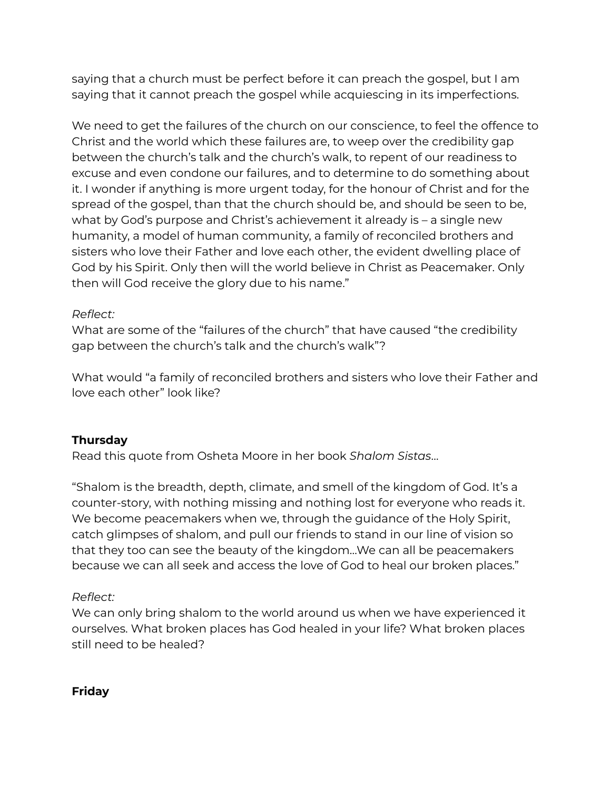saying that a church must be perfect before it can preach the gospel, but I am saying that it cannot preach the gospel while acquiescing in its imperfections.

We need to get the failures of the church on our conscience, to feel the offence to Christ and the world which these failures are, to weep over the credibility gap between the church's talk and the church's walk, to repent of our readiness to excuse and even condone our failures, and to determine to do something about it. I wonder if anything is more urgent today, for the honour of Christ and for the spread of the gospel, than that the church should be, and should be seen to be, what by God's purpose and Christ's achievement it already is – a single new humanity, a model of human community, a family of reconciled brothers and sisters who love their Father and love each other, the evident dwelling place of God by his Spirit. Only then will the world believe in Christ as Peacemaker. Only then will God receive the glory due to his name."

## *Reflect:*

What are some of the "failures of the church" that have caused "the credibility gap between the church's talk and the church's walk"?

What would "a family of reconciled brothers and sisters who love their Father and love each other" look like?

# **Thursday**

Read this quote from Osheta Moore in her book *Shalom Sistas*…

"Shalom is the breadth, depth, climate, and smell of the kingdom of God. It's a counter-story, with nothing missing and nothing lost for everyone who reads it. We become peacemakers when we, through the guidance of the Holy Spirit, catch glimpses of shalom, and pull our friends to stand in our line of vision so that they too can see the beauty of the kingdom…We can all be peacemakers because we can all seek and access the love of God to heal our broken places."

# *Reflect:*

We can only bring shalom to the world around us when we have experienced it ourselves. What broken places has God healed in your life? What broken places still need to be healed?

#### **Friday**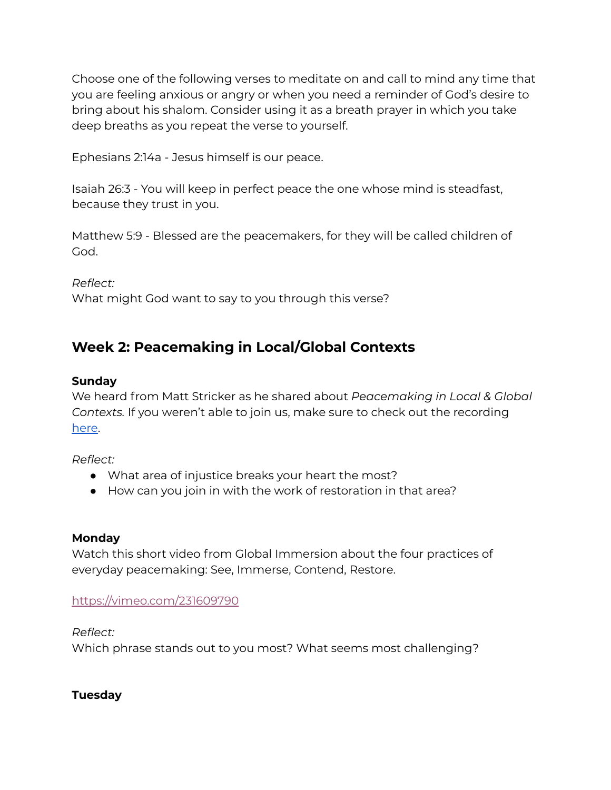Choose one of the following verses to meditate on and call to mind any time that you are feeling anxious or angry or when you need a reminder of God's desire to bring about his shalom. Consider using it as a breath prayer in which you take deep breaths as you repeat the verse to yourself.

Ephesians 2:14a - Jesus himself is our peace.

Isaiah 26:3 - You will keep in perfect peace the one whose mind is steadfast, because they trust in you.

Matthew 5:9 - Blessed are the peacemakers, for they will be called children of God.

*Reflect:*

What might God want to say to you through this verse?

# **Week 2: Peacemaking in Local/Global Contexts**

#### **Sunday**

We heard from Matt Stricker as he shared about *Peacemaking in Local & Global Contexts.* If you weren't able to join us, make sure to check out the recording [here](https://www.youtube.com/watch?v=KZR1JGxHuao&t=94s).

*Reflect:*

- What area of injustice breaks your heart the most?
- How can you join in with the work of restoration in that area?

#### **Monday**

Watch this short video from Global Immersion about the four practices of everyday peacemaking: See, Immerse, Contend, Restore.

#### <https://vimeo.com/231609790>

#### *Reflect:*

Which phrase stands out to you most? What seems most challenging?

#### **Tuesday**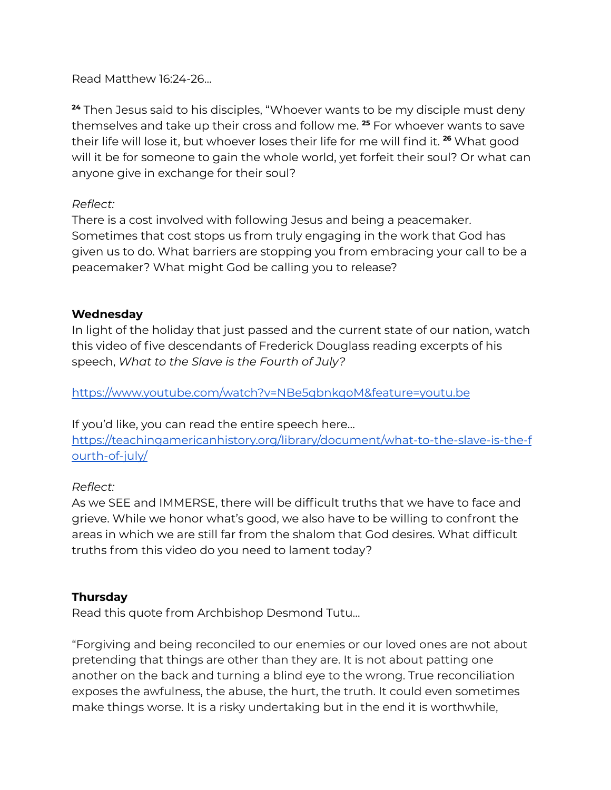Read Matthew 16:24-26…

**<sup>24</sup>** Then Jesus said to his disciples, "Whoever wants to be my disciple must deny themselves and take up their cross and follow me. **<sup>25</sup>** For whoever wants to save their life will lose it, but whoever loses their life for me will find it. **<sup>26</sup>** What good will it be for someone to gain the whole world, yet forfeit their soul? Or what can anyone give in exchange for their soul?

#### *Reflect:*

There is a cost involved with following Jesus and being a peacemaker. Sometimes that cost stops us from truly engaging in the work that God has given us to do. What barriers are stopping you from embracing your call to be a peacemaker? What might God be calling you to release?

#### **Wednesday**

In light of the holiday that just passed and the current state of our nation, watch this video of five descendants of Frederick Douglass reading excerpts of his speech, *What to the Slave is the Fourth of July?*

<https://www.youtube.com/watch?v=NBe5qbnkqoM&feature=youtu.be>

If you'd like, you can read the entire speech here… [https://teachingamericanhistory.org/library/document/what-to-the-slave-is-the-f](https://teachingamericanhistory.org/library/document/what-to-the-slave-is-the-fourth-of-july/) [ourth-of-july/](https://teachingamericanhistory.org/library/document/what-to-the-slave-is-the-fourth-of-july/)

#### *Reflect:*

As we SEE and IMMERSE, there will be difficult truths that we have to face and grieve. While we honor what's good, we also have to be willing to confront the areas in which we are still far from the shalom that God desires. What difficult truths from this video do you need to lament today?

#### **Thursday**

Read this quote from Archbishop Desmond Tutu…

"Forgiving and being reconciled to our enemies or our loved ones are not about pretending that things are other than they are. It is not about patting one another on the back and turning a blind eye to the wrong. True reconciliation exposes the awfulness, the abuse, the hurt, the truth. It could even sometimes make things worse. It is a risky undertaking but in the end it is worthwhile,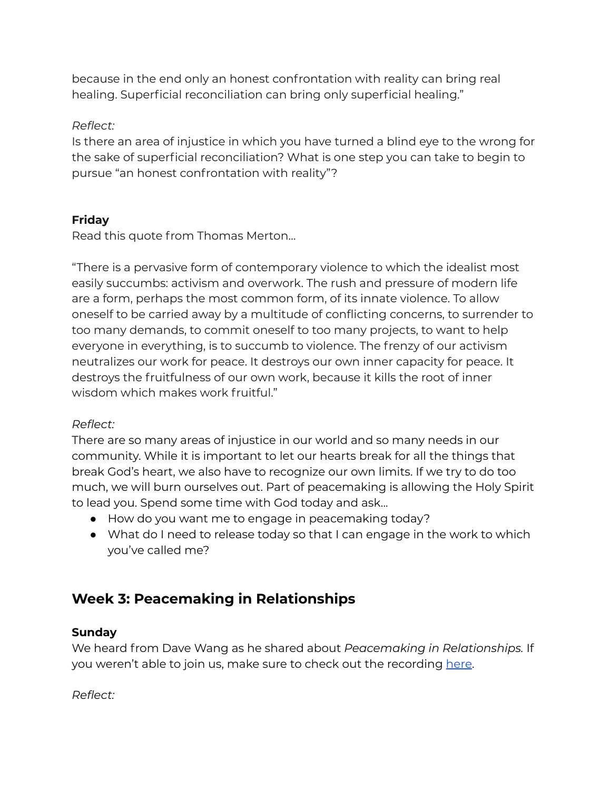because in the end only an honest confrontation with reality can bring real healing. Superficial reconciliation can bring only superficial healing."

## *Reflect:*

Is there an area of injustice in which you have turned a blind eye to the wrong for the sake of superficial reconciliation? What is one step you can take to begin to pursue "an honest confrontation with reality"?

# **Friday**

Read this quote from Thomas Merton…

"There is a pervasive form of contemporary violence to which the idealist most easily succumbs: activism and overwork. The rush and pressure of modern life are a form, perhaps the most common form, of its innate violence. To allow oneself to be carried away by a multitude of conflicting concerns, to surrender to too many demands, to commit oneself to too many projects, to want to help everyone in everything, is to succumb to violence. The frenzy of our activism neutralizes our work for peace. It destroys our own inner capacity for peace. It destroys the fruitfulness of our own work, because it kills the root of inner wisdom which makes work fruitful."

# *Reflect:*

There are so many areas of injustice in our world and so many needs in our community. While it is important to let our hearts break for all the things that break God's heart, we also have to recognize our own limits. If we try to do too much, we will burn ourselves out. Part of peacemaking is allowing the Holy Spirit to lead you. Spend some time with God today and ask...

- How do you want me to engage in peacemaking today?
- What do I need to release today so that I can engage in the work to which you've called me?

# **Week 3: Peacemaking in Relationships**

#### **Sunday**

We heard from Dave Wang as he shared about *Peacemaking in Relationships.* If you weren't able to join us, make sure to check out the recording [here](https://www.youtube.com/watch?v=avZPPCO7hM4).

#### *Reflect:*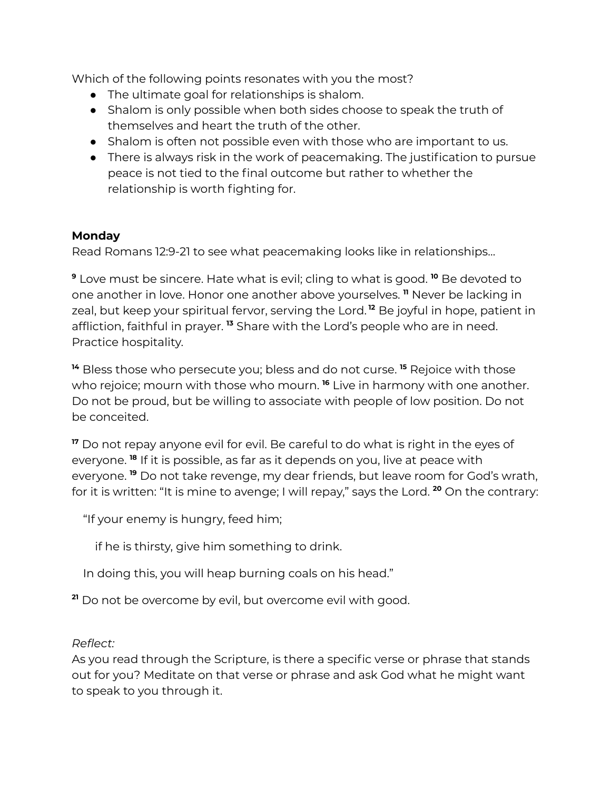Which of the following points resonates with you the most?

- The ultimate goal for relationships is shalom.
- Shalom is only possible when both sides choose to speak the truth of themselves and heart the truth of the other.
- Shalom is often not possible even with those who are important to us.
- There is always risk in the work of peacemaking. The justification to pursue peace is not tied to the final outcome but rather to whether the relationship is worth fighting for.

# **Monday**

Read Romans 12:9-21 to see what peacemaking looks like in relationships…

**<sup>9</sup>** Love must be sincere. Hate what is evil; cling to what is good. **<sup>10</sup>** Be devoted to one another in love. Honor one another above yourselves. **<sup>11</sup>** Never be lacking in zeal, but keep your spiritual fervor, serving the Lord. **<sup>12</sup>** Be joyful in hope, patient in affliction, faithful in prayer. **<sup>13</sup>** Share with the Lord's people who are in need. Practice hospitality.

**<sup>14</sup>** Bless those who persecute you; bless and do not curse. **<sup>15</sup>** Rejoice with those who rejoice; mourn with those who mourn. **<sup>16</sup>** Live in harmony with one another. Do not be proud, but be willing to associate with people of low position. Do not be conceited.

**<sup>17</sup>** Do not repay anyone evil for evil. Be careful to do what is right in the eyes of everyone. **18** If it is possible, as far as it depends on you, live at peace with everyone. **<sup>19</sup>** Do not take revenge, my dear friends, but leave room for God's wrath, for it is written: "It is mine to avenge; I will repay," says the Lord. **<sup>20</sup>** On the contrary:

"If your enemy is hungry, feed him;

if he is thirsty, give him something to drink.

In doing this, you will heap burning coals on his head."

**<sup>21</sup>** Do not be overcome by evil, but overcome evil with good.

#### *Reflect:*

As you read through the Scripture, is there a specific verse or phrase that stands out for you? Meditate on that verse or phrase and ask God what he might want to speak to you through it.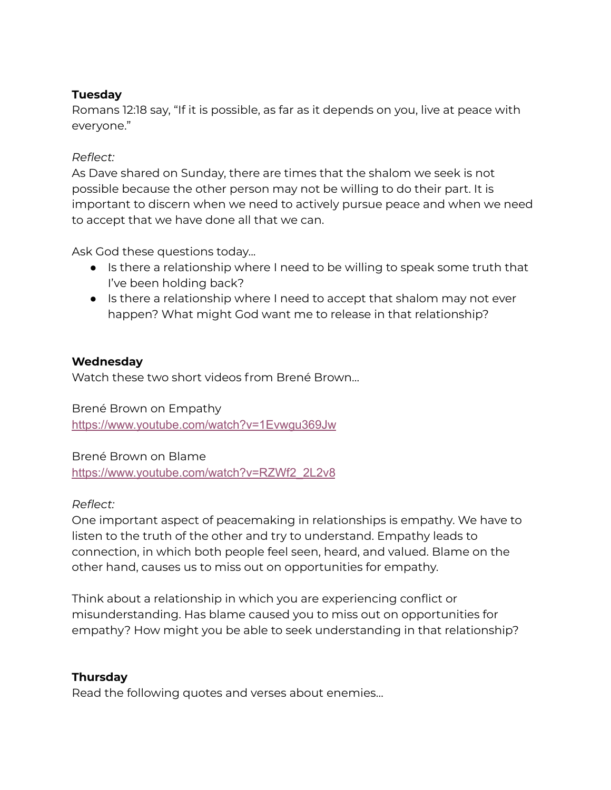#### **Tuesday**

Romans 12:18 say, "If it is possible, as far as it depends on you, live at peace with everyone."

#### *Reflect:*

As Dave shared on Sunday, there are times that the shalom we seek is not possible because the other person may not be willing to do their part. It is important to discern when we need to actively pursue peace and when we need to accept that we have done all that we can.

Ask God these questions today...

- Is there a relationship where I need to be willing to speak some truth that I've been holding back?
- Is there a relationship where I need to accept that shalom may not ever happen? What might God want me to release in that relationship?

#### **Wednesday**

Watch these two short videos from Brené Brown…

Brené Brown on Empathy <https://www.youtube.com/watch?v=1Evwgu369Jw>

Brené Brown on Blame

[https://www.youtube.com/watch?v=RZWf2\\_2L2v8](https://www.youtube.com/watch?v=RZWf2_2L2v8)

#### *Reflect:*

One important aspect of peacemaking in relationships is empathy. We have to listen to the truth of the other and try to understand. Empathy leads to connection, in which both people feel seen, heard, and valued. Blame on the other hand, causes us to miss out on opportunities for empathy.

Think about a relationship in which you are experiencing conflict or misunderstanding. Has blame caused you to miss out on opportunities for empathy? How might you be able to seek understanding in that relationship?

#### **Thursday**

Read the following quotes and verses about enemies…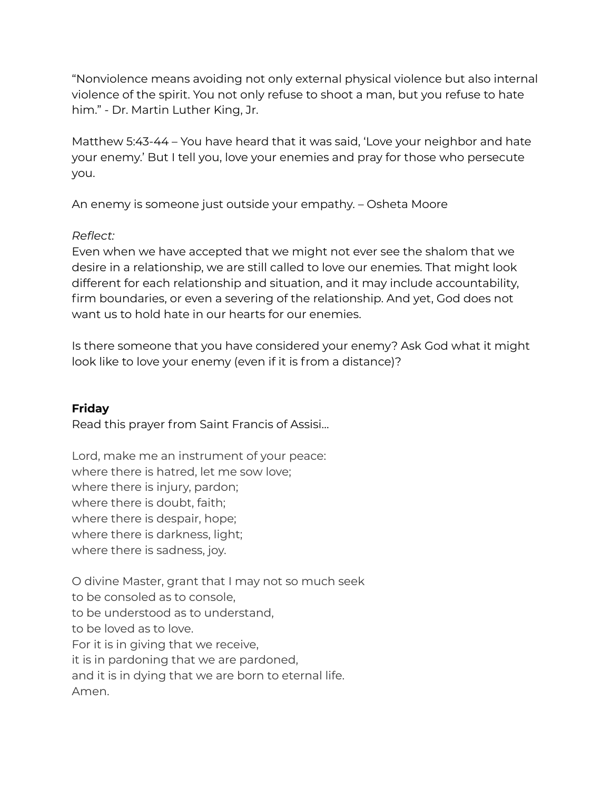"Nonviolence means avoiding not only external physical violence but also internal violence of the spirit. You not only refuse to shoot a man, but you refuse to hate him." - Dr. Martin Luther King, Jr.

Matthew 5:43-44 – You have heard that it was said, 'Love your neighbor and hate your enemy.' But I tell you, love your enemies and pray for those who persecute you.

An enemy is someone just outside your empathy. – Osheta Moore

## *Reflect:*

Even when we have accepted that we might not ever see the shalom that we desire in a relationship, we are still called to love our enemies. That might look different for each relationship and situation, and it may include accountability, firm boundaries, or even a severing of the relationship. And yet, God does not want us to hold hate in our hearts for our enemies.

Is there someone that you have considered your enemy? Ask God what it might look like to love your enemy (even if it is from a distance)?

# **Friday**

Read this prayer from Saint Francis of Assisi…

Lord, make me an instrument of your peace: where there is hatred, let me sow love; where there is injury, pardon; where there is doubt, faith; where there is despair, hope; where there is darkness, light; where there is sadness, joy.

O divine Master, grant that I may not so much seek to be consoled as to console, to be understood as to understand, to be loved as to love. For it is in giving that we receive, it is in pardoning that we are pardoned, and it is in dying that we are born to eternal life. Amen.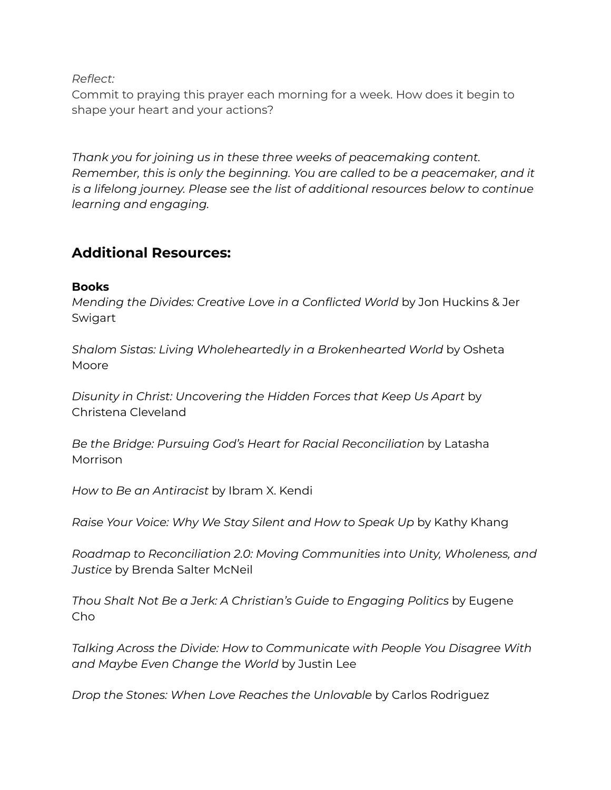*Reflect:*

Commit to praying this prayer each morning for a week. How does it begin to shape your heart and your actions?

*Thank you for joining us in these three weeks of peacemaking content. Remember, this is only the beginning. You are called to be a peacemaker, and it is a lifelong journey. Please see the list of additional resources below to continue learning and engaging.*

# **Additional Resources:**

#### **Books**

*Mending the Divides: Creative Love in a Conflicted World* by Jon Huckins & Jer Swigart

*Shalom Sistas: Living Wholeheartedly in a Brokenhearted World* by Osheta Moore

*Disunity in Christ: Uncovering the Hidden Forces that Keep Us Apart* by Christena Cleveland

*Be the Bridge: Pursuing God's Heart for Racial Reconciliation* by Latasha Morrison

*How to Be an Antiracist* by Ibram X. Kendi

*Raise Your Voice: Why We Stay Silent and How to Speak Up* by Kathy Khang

*Roadmap to Reconciliation 2.0: Moving Communities into Unity, Wholeness, and Justice* by Brenda Salter McNeil

*Thou Shalt Not Be a Jerk: A Christian's Guide to Engaging Politics* by Eugene Cho

*Talking Across the Divide: How to Communicate with People You Disagree With and Maybe Even Change the World* by Justin Lee

*Drop the Stones: When Love Reaches the Unlovable* by Carlos Rodriguez